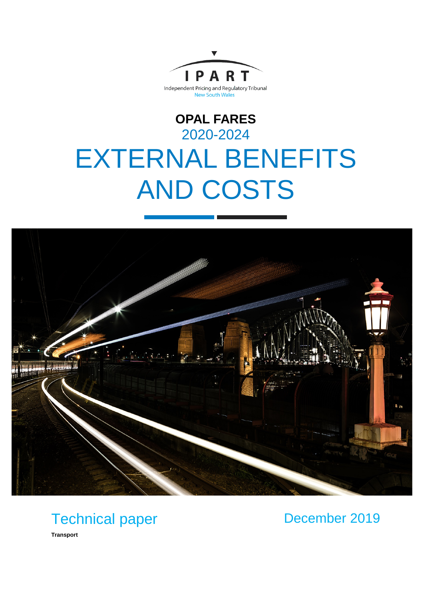

# **OPAL FARES** 2020-2024 EXTERNAL BENEFITS AND COSTS



## Technical paper

December 2019

**Transport**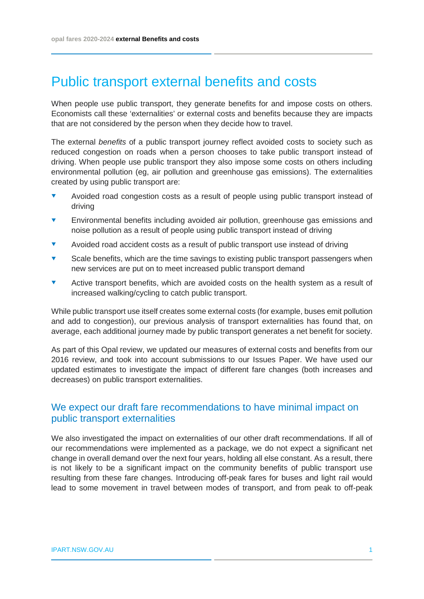## Public transport external benefits and costs

When people use public transport, they generate benefits for and impose costs on others. Economists call these 'externalities' or external costs and benefits because they are impacts that are not considered by the person when they decide how to travel.

The external *benefits* of a public transport journey reflect avoided costs to society such as reduced congestion on roads when a person chooses to take public transport instead of driving. When people use public transport they also impose some costs on others including environmental pollution (eg, air pollution and greenhouse gas emissions). The externalities created by using public transport are:

- Avoided road congestion costs as a result of people using public transport instead of driving
- Environmental benefits including avoided air pollution, greenhouse gas emissions and noise pollution as a result of people using public transport instead of driving
- Avoided road accident costs as a result of public transport use instead of driving
- Scale benefits, which are the time savings to existing public transport passengers when new services are put on to meet increased public transport demand
- **•** Active transport benefits, which are avoided costs on the health system as a result of increased walking/cycling to catch public transport.

While public transport use itself creates some external costs (for example, buses emit pollution and add to congestion), our previous analysis of transport externalities has found that, on average, each additional journey made by public transport generates a net benefit for society.

As part of this Opal review, we updated our measures of external costs and benefits from our 2016 review, and took into account submissions to our Issues Paper. We have used our updated estimates to investigate the impact of different fare changes (both increases and decreases) on public transport externalities.

## We expect our draft fare recommendations to have minimal impact on public transport externalities

We also investigated the impact on externalities of our other draft recommendations. If all of our recommendations were implemented as a package, we do not expect a significant net change in overall demand over the next four years, holding all else constant. As a result, there is not likely to be a significant impact on the community benefits of public transport use resulting from these fare changes. Introducing off-peak fares for buses and light rail would lead to some movement in travel between modes of transport, and from peak to off-peak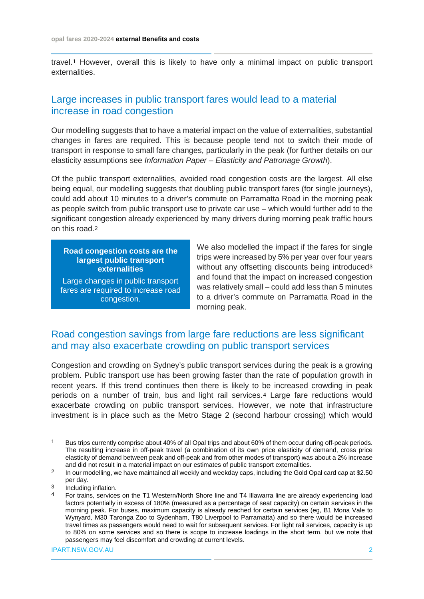travel.[1](#page-2-0) However, overall this is likely to have only a minimal impact on public transport externalities.

## Large increases in public transport fares would lead to a material increase in road congestion

Our modelling suggests that to have a material impact on the value of externalities, substantial changes in fares are required. This is because people tend not to switch their mode of transport in response to small fare changes, particularly in the peak (for further details on our elasticity assumptions see *Information Paper – Elasticity and Patronage Growth*).

Of the public transport externalities, avoided road congestion costs are the largest. All else being equal, our modelling suggests that doubling public transport fares (for single journeys), could add about 10 minutes to a driver's commute on Parramatta Road in the morning peak as people switch from public transport use to private car use – which would further add to the significant congestion already experienced by many drivers during morning peak traffic hours on this road.[2](#page-2-1)

**Road congestion costs are the largest public transport externalities**

Large changes in public transport fares are required to increase road congestion.

We also modelled the impact if the fares for single trips were increased by 5% per year over four years without any offsetting discounts being introduced<sup>[3](#page-2-2)</sup> and found that the impact on increased congestion was relatively small – could add less than 5 minutes to a driver's commute on Parramatta Road in the morning peak.

## Road congestion savings from large fare reductions are less significant and may also exacerbate crowding on public transport services

Congestion and crowding on Sydney's public transport services during the peak is a growing problem. Public transport use has been growing faster than the rate of population growth in recent years. If this trend continues then there is likely to be increased crowding in peak periods on a number of train, bus and light rail services.[4](#page-2-3) Large fare reductions would exacerbate crowding on public transport services. However, we note that infrastructure investment is in place such as the Metro Stage 2 (second harbour crossing) which would

<span id="page-2-0"></span><sup>&</sup>lt;sup>1</sup> Bus trips currently comprise about 40% of all Opal trips and about 60% of them occur during off-peak periods. The resulting increase in off-peak travel (a combination of its own price elasticity of demand, cross price elasticity of demand between peak and off-peak and from other modes of transport) was about a 2% increase and did not result in a material impact on our estimates of public transport externalities.

<span id="page-2-1"></span><sup>&</sup>lt;sup>2</sup> In our modelling, we have maintained all weekly and weekday caps, including the Gold Opal card cap at \$2.50 per day.

<span id="page-2-3"></span><span id="page-2-2"></span><sup>3</sup> Including inflation.<br>4 For trains service

<sup>4</sup> For trains, services on the T1 Western/North Shore line and T4 Illawarra line are already experiencing load factors potentially in excess of 180% (measured as a percentage of seat capacity) on certain services in the morning peak. For buses, maximum capacity is already reached for certain services (eg, B1 Mona Vale to Wynyard, M30 Taronga Zoo to Sydenham, T80 Liverpool to Parramatta) and so there would be increased travel times as passengers would need to wait for subsequent services. For light rail services, capacity is up to 80% on some services and so there is scope to increase loadings in the short term, but we note that passengers may feel discomfort and crowding at current levels.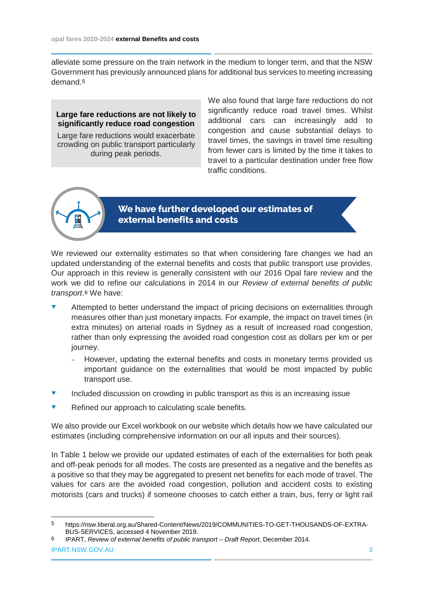alleviate some pressure on the train network in the medium to longer term, and that the NSW Government has previously announced plans for additional bus services to meeting increasing demand.[5](#page-3-0)

#### **Large fare reductions are not likely to significantly reduce road congestion**

Large fare reductions would exacerbate crowding on public transport particularly during peak periods.

We also found that large fare reductions do not significantly reduce road travel times. Whilst additional cars can increasingly add to congestion and cause substantial delays to travel times, the savings in travel time resulting from fewer cars is limited by the time it takes to travel to a particular destination under free flow traffic conditions.



### **We have further developed our estimates of external benefits and costs**

We reviewed our externality estimates so that when considering fare changes we had an updated understanding of the external benefits and costs that public transport use provides. Our approach in this review is generally consistent with our 2016 Opal fare review and the work we did to refine our calculations in 2014 in our *Review of external benefits of public transport*.[6](#page-3-1) We have:

- Attempted to better understand the impact of pricing decisions on externalities through measures other than just monetary impacts. For example, the impact on travel times (in extra minutes) on arterial roads in Sydney as a result of increased road congestion, rather than only expressing the avoided road congestion cost as dollars per km or per journey.
	- However, updating the external benefits and costs in monetary terms provided us important guidance on the externalities that would be most impacted by public transport use.
- Included discussion on crowding in public transport as this is an increasing issue
- Refined our approach to calculating scale benefits.

We also provide our Excel workbook on our website which details how we have calculated our estimates (including comprehensive information on our all inputs and their sources).

In Table 1 below we provide our updated estimates of each of the externalities for both peak and off-peak periods for all modes. The costs are presented as a negative and the benefits as a positive so that they may be aggregated to present net benefits for each mode of travel. The values for cars are the avoided road congestion, pollution and accident costs to existing motorists (cars and trucks) if someone chooses to catch either a train, bus, ferry or light rail

<span id="page-3-1"></span>IPART.NSW.GOV.AU 3 6 IPART, *Review of external benefits of public transport – Draft Report*, December 2014.

<span id="page-3-0"></span> <sup>5</sup> [https://nsw.liberal.org.au/Shared-Content/News/2019/COMMUNITIES-TO-GET-THOUSANDS-OF-EXTRA-](https://nsw.liberal.org.au/Shared-Content/News/2019/COMMUNITIES-TO-GET-THOUSANDS-OF-EXTRA-BUS-SERVICES)[BUS-SERVICES,](https://nsw.liberal.org.au/Shared-Content/News/2019/COMMUNITIES-TO-GET-THOUSANDS-OF-EXTRA-BUS-SERVICES) accessed 4 November 2019.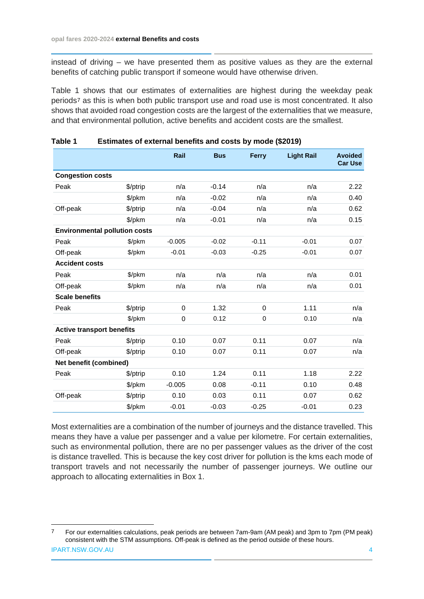instead of driving – we have presented them as positive values as they are the external benefits of catching public transport if someone would have otherwise driven.

Table 1 shows that our estimates of externalities are highest during the weekday peak periods[7](#page-4-0) as this is when both public transport use and road use is most concentrated. It also shows that avoided road congestion costs are the largest of the externalities that we measure, and that environmental pollution, active benefits and accident costs are the smallest.

|                                      |          | Rail     | <b>Bus</b> | <b>Ferry</b> | <b>Light Rail</b> | <b>Avoided</b><br><b>Car Use</b> |
|--------------------------------------|----------|----------|------------|--------------|-------------------|----------------------------------|
| <b>Congestion costs</b>              |          |          |            |              |                   |                                  |
| Peak                                 | \$/ptrip | n/a      | $-0.14$    | n/a          | n/a               | 2.22                             |
|                                      | \$/pkm   | n/a      | $-0.02$    | n/a          | n/a               | 0.40                             |
| Off-peak                             | \$/ptrip | n/a      | $-0.04$    | n/a          | n/a               | 0.62                             |
|                                      | \$/pkm   | n/a      | $-0.01$    | n/a          | n/a               | 0.15                             |
| <b>Environmental pollution costs</b> |          |          |            |              |                   |                                  |
| Peak                                 | \$/pkm   | $-0.005$ | $-0.02$    | $-0.11$      | $-0.01$           | 0.07                             |
| Off-peak                             | \$/pkm   | $-0.01$  | $-0.03$    | $-0.25$      | $-0.01$           | 0.07                             |
| <b>Accident costs</b>                |          |          |            |              |                   |                                  |
| Peak                                 | \$/pkm   | n/a      | n/a        | n/a          | n/a               | 0.01                             |
| Off-peak                             | \$/pkm   | n/a      | n/a        | n/a          | n/a               | 0.01                             |
| <b>Scale benefits</b>                |          |          |            |              |                   |                                  |
| Peak                                 | \$/ptrip | 0        | 1.32       | 0            | 1.11              | n/a                              |
|                                      | \$/pkm   | 0        | 0.12       | $\mathbf 0$  | 0.10              | n/a                              |
| <b>Active transport benefits</b>     |          |          |            |              |                   |                                  |
| Peak                                 | \$/ptrip | 0.10     | 0.07       | 0.11         | 0.07              | n/a                              |
| Off-peak                             | \$/ptrip | 0.10     | 0.07       | 0.11         | 0.07              | n/a                              |
| Net benefit (combined)               |          |          |            |              |                   |                                  |
| Peak                                 | \$/ptrip | 0.10     | 1.24       | 0.11         | 1.18              | 2.22                             |
|                                      | \$/pkm   | $-0.005$ | 0.08       | $-0.11$      | 0.10              | 0.48                             |
| Off-peak                             | \$/ptrip | 0.10     | 0.03       | 0.11         | 0.07              | 0.62                             |
|                                      | \$/pkm   | $-0.01$  | $-0.03$    | $-0.25$      | $-0.01$           | 0.23                             |

#### **Table 1 Estimates of external benefits and costs by mode (\$2019)**

Most externalities are a combination of the number of journeys and the distance travelled. This means they have a value per passenger and a value per kilometre. For certain externalities, such as environmental pollution, there are no per passenger values as the driver of the cost is distance travelled. This is because the key cost driver for pollution is the kms each mode of transport travels and not necessarily the number of passenger journeys. We outline our approach to allocating externalities in Box 1.

<span id="page-4-0"></span>IPART.NSW.GOV.AU 4 7 For our externalities calculations, peak periods are between 7am-9am (AM peak) and 3pm to 7pm (PM peak) consistent with the STM assumptions. Off-peak is defined as the period outside of these hours.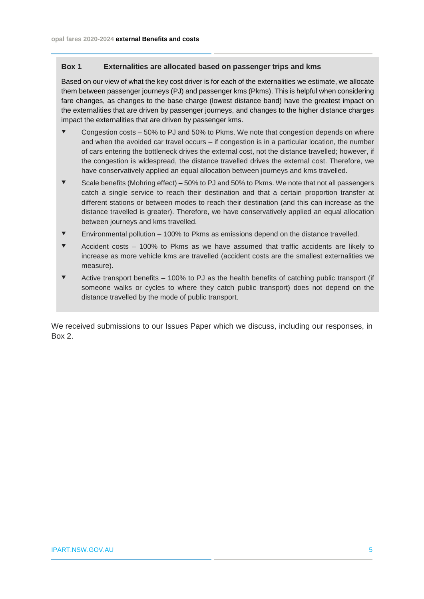#### **Box 1 Externalities are allocated based on passenger trips and kms**

Based on our view of what the key cost driver is for each of the externalities we estimate, we allocate them between passenger journeys (PJ) and passenger kms (Pkms). This is helpful when considering fare changes, as changes to the base charge (lowest distance band) have the greatest impact on the externalities that are driven by passenger journeys, and changes to the higher distance charges impact the externalities that are driven by passenger kms.

- Congestion costs 50% to PJ and 50% to Pkms. We note that congestion depends on where and when the avoided car travel occurs – if congestion is in a particular location, the number of cars entering the bottleneck drives the external cost, not the distance travelled; however, if the congestion is widespread, the distance travelled drives the external cost. Therefore, we have conservatively applied an equal allocation between journeys and kms travelled.
- $\blacktriangledown$  Scale benefits (Mohring effect) 50% to PJ and 50% to Pkms. We note that not all passengers catch a single service to reach their destination and that a certain proportion transfer at different stations or between modes to reach their destination (and this can increase as the distance travelled is greater). Therefore, we have conservatively applied an equal allocation between journeys and kms travelled.
- $\blacktriangledown$  Environmental pollution 100% to Pkms as emissions depend on the distance travelled.
- Accident costs 100% to Pkms as we have assumed that traffic accidents are likely to increase as more vehicle kms are travelled (accident costs are the smallest externalities we measure).
- Active transport benefits 100% to PJ as the health benefits of catching public transport (if someone walks or cycles to where they catch public transport) does not depend on the distance travelled by the mode of public transport.

We received submissions to our Issues Paper which we discuss, including our responses, in Box 2.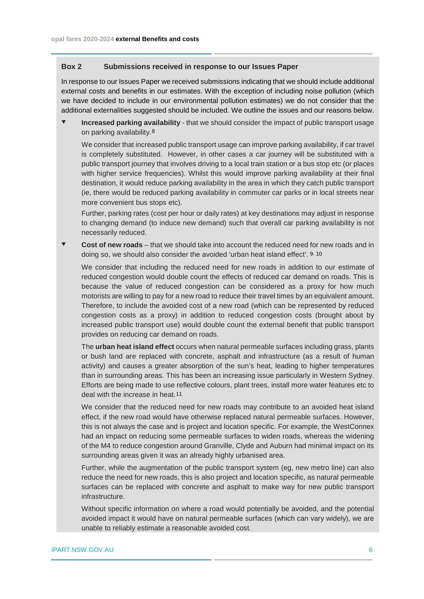#### **Box 2 Submissions received in response to our Issues Paper**

In response to our Issues Paper we received submissions indicating that we should include additional external costs and benefits in our estimates. With the exception of including noise pollution (which we have decided to include in our environmental pollution estimates) we do not consider that the additional externalities suggested should be included. We outline the issues and our reasons below.

 **Increased parking availability** - that we should consider the impact of public transport usage on parking availability.[8](#page-6-0) 

We consider that increased public transport usage can improve parking availability, if car travel is completely substituted. However, in other cases a car journey will be substituted with a public transport journey that involves driving to a local train station or a bus stop etc (or places with higher service frequencies). Whilst this would improve parking availability at their final destination, it would reduce parking availability in the area in which they catch public transport (ie, there would be reduced parking availability in commuter car parks or in local streets near more convenient bus stops etc).

Further, parking rates (cost per hour or daily rates) at key destinations may adjust in response to changing demand (to induce new demand) such that overall car parking availability is not necessarily reduced.

 **Cost of new roads** – that we should take into account the reduced need for new roads and in doing so, we should also consider the avoided 'urban heat island effect'. [9,](#page-6-1) [10](#page-6-2)

We consider that including the reduced need for new roads in addition to our estimate of reduced congestion would double count the effects of reduced car demand on roads. This is because the value of reduced congestion can be considered as a proxy for how much motorists are willing to pay for a new road to reduce their travel times by an equivalent amount. Therefore, to include the avoided cost of a new road (which can be represented by reduced congestion costs as a proxy) in addition to reduced congestion costs (brought about by increased public transport use) would double count the external benefit that public transport provides on reducing car demand on roads.

The **urban heat island effect** occurs when natural permeable surfaces including grass, plants or bush land are replaced with concrete, asphalt and infrastructure (as a result of human activity) and causes a greater absorption of the sun's heat, leading to higher temperatures than in surrounding areas. This has been an increasing issue particularly in Western Sydney. Efforts are being made to use reflective colours, plant trees, install more water features etc to deal with the increase in heat.[11](#page-6-3) 

We consider that the reduced need for new roads may contribute to an avoided heat island effect, if the new road would have otherwise replaced natural permeable surfaces. However, this is not always the case and is project and location specific. For example, the WestConnex had an impact on reducing some permeable surfaces to widen roads, whereas the widening of the M4 to reduce congestion around Granville, Clyde and Auburn had minimal impact on its surrounding areas given it was an already highly urbanised area.

<span id="page-6-1"></span><span id="page-6-0"></span>Further, while the augmentation of the public transport system (eg, new metro line) can also reduce the need for new roads, this is also project and location specific, as natural permeable surfaces can be replaced with concrete and asphalt to make way for new public transport infrastructure.

<span id="page-6-3"></span><span id="page-6-2"></span>Without specific information on where a road would potentially be avoided, and the potential avoided impact it would have on natural permeable surfaces (which can vary widely), we are unable to reliably estimate a reasonable avoided cost.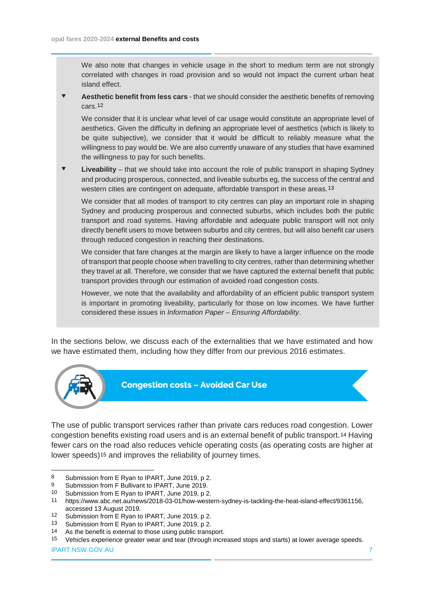We also note that changes in vehicle usage in the short to medium term are not strongly correlated with changes in road provision and so would not impact the current urban heat island effect.

 **Aesthetic benefit from less cars** - that we should consider the aesthetic benefits of removing cars.[12](#page-7-0)

We consider that it is unclear what level of car usage would constitute an appropriate level of aesthetics. Given the difficulty in defining an appropriate level of aesthetics (which is likely to be quite subjective), we consider that it would be difficult to reliably measure what the willingness to pay would be. We are also currently unaware of any studies that have examined the willingness to pay for such benefits.

 **Liveability** – that we should take into account the role of public transport in shaping Sydney and producing prosperous, connected, and liveable suburbs eg, the success of the central and western cities are contingent on adequate, affordable transport in these areas.[13](#page-7-1)

We consider that all modes of transport to city centres can play an important role in shaping Sydney and producing prosperous and connected suburbs, which includes both the public transport and road systems. Having affordable and adequate public transport will not only directly benefit users to move between suburbs and city centres, but will also benefit car users through reduced congestion in reaching their destinations.

We consider that fare changes at the margin are likely to have a larger influence on the mode of transport that people choose when travelling to city centres, rather than determining whether they travel at all. Therefore, we consider that we have captured the external benefit that public transport provides through our estimation of avoided road congestion costs.

However, we note that the availability and affordability of an efficient public transport system is important in promoting liveability, particularly for those on low incomes. We have further considered these issues in *Information Paper – Ensuring Affordability*.

In the sections below, we discuss each of the externalities that we have estimated and how we have estimated them, including how they differ from our previous 2016 estimates.



**Congestion costs – Avoided Car Use**

The use of public transport services rather than private cars reduces road congestion. Lower congestion benefits existing road users and is an external benefit of public transport.[14](#page-7-2) Having fewer cars on the road also reduces vehicle operating costs (as operating costs are higher at lower speeds)<sup>[15](#page-7-3)</sup> and improves the reliability of journey times.

<span id="page-7-2"></span><span id="page-7-1"></span>14 As the benefit is external to those using public transport.

<sup>8</sup> Submission from E Ryan to IPART, June 2019, p 2.<br>9 Submission from F Bullivant to IPART, June 2019.<br>10 Submission from E Ryan to IPART, June 2019, p 2.

<sup>11</sup> [https://www.abc.net.au/news/2018-03-01/how-western-sydney-is-tackling-the-heat-island-effect/9361156,](https://www.abc.net.au/news/2018-03-01/how-western-sydney-is-tackling-the-heat-island-effect/9361156) accessed 13 August 2019.<br>12 Submission from E Ryan to IPART, June 2019, p 2.<br>13 Submission from E Ryan to IPART, June 2019, p 2.

<span id="page-7-0"></span>

<span id="page-7-3"></span><sup>15</sup> Vehicles experience greater wear and tear (through increased stops and starts) at lower average speeds.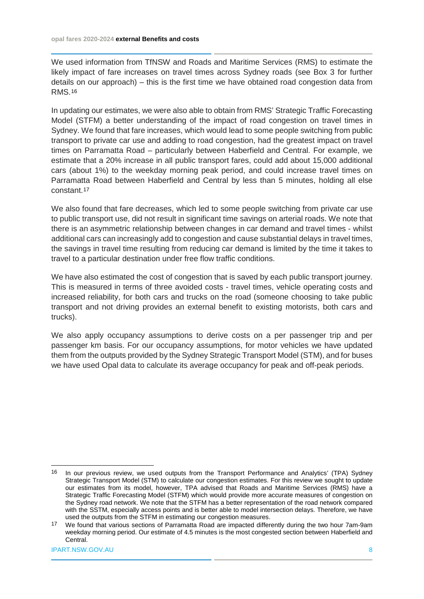We used information from TfNSW and Roads and Maritime Services (RMS) to estimate the likely impact of fare increases on travel times across Sydney roads (see Box 3 for further details on our approach) – this is the first time we have obtained road congestion data from RMS.[16](#page-8-0)

In updating our estimates, we were also able to obtain from RMS' Strategic Traffic Forecasting Model (STFM) a better understanding of the impact of road congestion on travel times in Sydney. We found that fare increases, which would lead to some people switching from public transport to private car use and adding to road congestion, had the greatest impact on travel times on Parramatta Road – particularly between Haberfield and Central. For example, we estimate that a 20% increase in all public transport fares, could add about 15,000 additional cars (about 1%) to the weekday morning peak period, and could increase travel times on Parramatta Road between Haberfield and Central by less than 5 minutes, holding all else constant.[17](#page-8-1)

We also found that fare decreases, which led to some people switching from private car use to public transport use, did not result in significant time savings on arterial roads. We note that there is an asymmetric relationship between changes in car demand and travel times - whilst additional cars can increasingly add to congestion and cause substantial delays in travel times, the savings in travel time resulting from reducing car demand is limited by the time it takes to travel to a particular destination under free flow traffic conditions.

We have also estimated the cost of congestion that is saved by each public transport journey. This is measured in terms of three avoided costs - travel times, vehicle operating costs and increased reliability, for both cars and trucks on the road (someone choosing to take public transport and not driving provides an external benefit to existing motorists, both cars and trucks).

We also apply occupancy assumptions to derive costs on a per passenger trip and per passenger km basis. For our occupancy assumptions, for motor vehicles we have updated them from the outputs provided by the Sydney Strategic Transport Model (STM), and for buses we have used Opal data to calculate its average occupancy for peak and off-peak periods.

<span id="page-8-0"></span> <sup>16</sup> In our previous review, we used outputs from the Transport Performance and Analytics' (TPA) Sydney Strategic Transport Model (STM) to calculate our congestion estimates. For this review we sought to update our estimates from its model, however, TPA advised that Roads and Maritime Services (RMS) have a Strategic Traffic Forecasting Model (STFM) which would provide more accurate measures of congestion on the Sydney road network. We note that the STFM has a better representation of the road network compared with the SSTM, especially access points and is better able to model intersection delays. Therefore, we have used the outputs from the STFM in estimating our congestion measures.

<span id="page-8-1"></span><sup>&</sup>lt;sup>17</sup> We found that various sections of Parramatta Road are impacted differently during the two hour 7am-9am weekday morning period. Our estimate of 4.5 minutes is the most congested section between Haberfield and Central.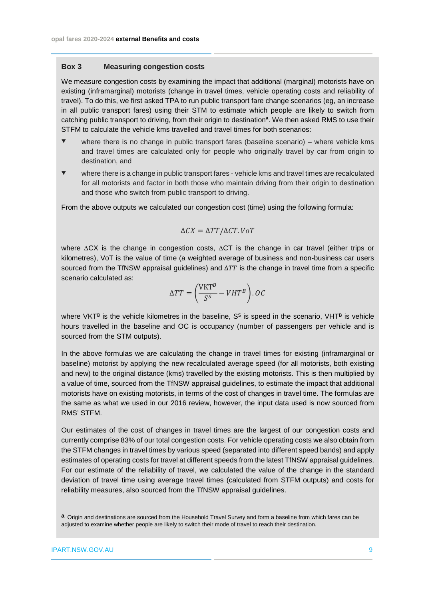#### **Box 3 Measuring congestion costs**

We measure congestion costs by examining the impact that additional (marginal) motorists have on existing (inframarginal) motorists (change in travel times, vehicle operating costs and reliability of travel). To do this, we first asked TPA to run public transport fare change scenarios (eg, an increase in all public transport fares) using their STM to estimate which people are likely to switch from catching public transport to driving, from their origin to destination**<sup>a</sup>**. We then asked RMS to use their STFM to calculate the vehicle kms travelled and travel times for both scenarios:

- where there is no change in public transport fares (baseline scenario) where vehicle kms and travel times are calculated only for people who originally travel by car from origin to destination, and
- where there is a change in public transport fares vehicle kms and travel times are recalculated for all motorists and factor in both those who maintain driving from their origin to destination and those who switch from public transport to driving.

From the above outputs we calculated our congestion cost (time) using the following formula:

$$
\Delta CX = \Delta TT / \Delta CT. VoT
$$

where ∆CX is the change in congestion costs, ∆CT is the change in car travel (either trips or kilometres), VoT is the value of time (a weighted average of business and non-business car users sourced from the TfNSW appraisal guidelines) and  $\Delta TT$  is the change in travel time from a specific scenario calculated as:

$$
\Delta TT = \left(\frac{\text{VKT}^B}{S^S} - VHT^B\right).OC
$$

where VKT<sup>B</sup> is the vehicle kilometres in the baseline,  $S<sup>S</sup>$  is speed in the scenario, VHT<sup>B</sup> is vehicle hours travelled in the baseline and OC is occupancy (number of passengers per vehicle and is sourced from the STM outputs).

In the above formulas we are calculating the change in travel times for existing (inframarginal or baseline) motorist by applying the new recalculated average speed (for all motorists, both existing and new) to the original distance (kms) travelled by the existing motorists. This is then multiplied by a value of time, sourced from the TfNSW appraisal guidelines, to estimate the impact that additional motorists have on existing motorists, in terms of the cost of changes in travel time. The formulas are the same as what we used in our 2016 review, however, the input data used is now sourced from RMS' STFM.

Our estimates of the cost of changes in travel times are the largest of our congestion costs and currently comprise 83% of our total congestion costs. For vehicle operating costs we also obtain from the STFM changes in travel times by various speed (separated into different speed bands) and apply estimates of operating costs for travel at different speeds from the latest TfNSW appraisal guidelines. For our estimate of the reliability of travel, we calculated the value of the change in the standard deviation of travel time using average travel times (calculated from STFM outputs) and costs for reliability measures, also sourced from the TfNSW appraisal guidelines.

**a** Origin and destinations are sourced from the Household Travel Survey and form a baseline from which fares can be adjusted to examine whether people are likely to switch their mode of travel to reach their destination.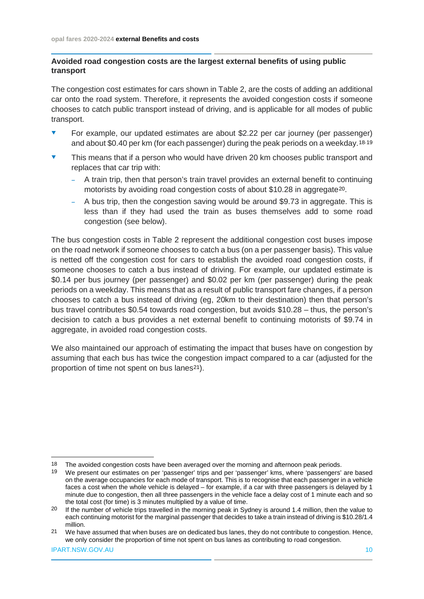#### **Avoided road congestion costs are the largest external benefits of using public transport**

The congestion cost estimates for cars shown in Table 2, are the costs of adding an additional car onto the road system. Therefore, it represents the avoided congestion costs if someone chooses to catch public transport instead of driving, and is applicable for all modes of public transport.

- For example, our updated estimates are about \$2.22 per car journey (per passenger) and about \$0.40 per km (for each passenger) during the peak periods on a weekday.[18,](#page-10-0)[19](#page-10-1)
- $\bullet$  This means that if a person who would have driven 20 km chooses public transport and replaces that car trip with:
	- A train trip, then that person's train travel provides an external benefit to continuing motorists by avoiding road congestion costs of about \$10.28 in aggregate[20](#page-10-2).
	- A bus trip, then the congestion saving would be around \$9.73 in aggregate. This is less than if they had used the train as buses themselves add to some road congestion (see below).

The bus congestion costs in Table 2 represent the additional congestion cost buses impose on the road network if someone chooses to catch a bus (on a per passenger basis). This value is netted off the congestion cost for cars to establish the avoided road congestion costs, if someone chooses to catch a bus instead of driving. For example, our updated estimate is \$0.14 per bus journey (per passenger) and \$0.02 per km (per passenger) during the peak periods on a weekday. This means that as a result of public transport fare changes, if a person chooses to catch a bus instead of driving (eg, 20km to their destination) then that person's bus travel contributes \$0.54 towards road congestion, but avoids \$10.28 – thus, the person's decision to catch a bus provides a net external benefit to continuing motorists of \$9.74 in aggregate, in avoided road congestion costs.

We also maintained our approach of estimating the impact that buses have on congestion by assuming that each bus has twice the congestion impact compared to a car (adjusted for the proportion of time not spent on bus lanes[21](#page-10-3)).

<span id="page-10-0"></span><sup>18</sup> The avoided congestion costs have been averaged over the morning and afternoon peak periods.

<span id="page-10-1"></span><sup>19</sup> We present our estimates on per 'passenger' trips and per 'passenger' kms, where 'passengers' are based on the average occupancies for each mode of transport. This is to recognise that each passenger in a vehicle faces a cost when the whole vehicle is delayed – for example, if a car with three passengers is delayed by 1 minute due to congestion, then all three passengers in the vehicle face a delay cost of 1 minute each and so the total cost (for time) is 3 minutes multiplied by a value of time.

<span id="page-10-2"></span><sup>&</sup>lt;sup>20</sup> If the number of vehicle trips travelled in the morning peak in Sydney is around 1.4 million, then the value to each continuing motorist for the marginal passenger that decides to take a train instead of driving is \$10.28/1.4 million.

<span id="page-10-3"></span><sup>21</sup> We have assumed that when buses are on dedicated bus lanes, they do not contribute to congestion. Hence, we only consider the proportion of time not spent on bus lanes as contributing to road congestion.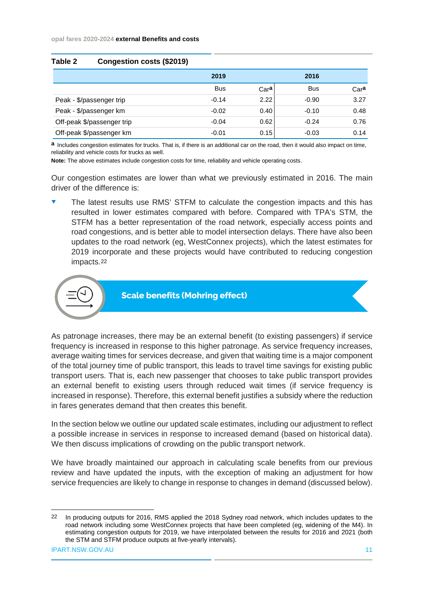| 1 U.VIV L<br>OUNGCONON COSTS (VZUTU) |            |      |            |      |
|--------------------------------------|------------|------|------------|------|
|                                      | 2019       |      | 2016       |      |
|                                      | <b>Bus</b> | Cara | <b>Bus</b> | Cara |
| Peak - \$/passenger trip             | $-0.14$    | 2.22 | $-0.90$    | 3.27 |
| Peak - \$/passenger km               | $-0.02$    | 0.40 | $-0.10$    | 0.48 |
| Off-peak \$/passenger trip           | $-0.04$    | 0.62 | $-0.24$    | 0.76 |
| Off-peak \$/passenger km             | $-0.01$    | 0.15 | $-0.03$    | 0.14 |

**Table 2 Congestion costs (\$2019)**

**a** Includes congestion estimates for trucks. That is, if there is an additional car on the road, then it would also impact on time, reliability and vehicle costs for trucks as well.

**Note:** The above estimates include congestion costs for time, reliability and vehicle operating costs.

Our congestion estimates are lower than what we previously estimated in 2016. The main driver of the difference is:

 The latest results use RMS' STFM to calculate the congestion impacts and this has resulted in lower estimates compared with before. Compared with TPA's STM, the STFM has a better representation of the road network, especially access points and road congestions, and is better able to model intersection delays. There have also been updates to the road network (eg, WestConnex projects), which the latest estimates for 2019 incorporate and these projects would have contributed to reducing congestion impacts.[22](#page-11-0)



**Scale benefits (Mohring effect)**

As patronage increases, there may be an external benefit (to existing passengers) if service frequency is increased in response to this higher patronage. As service frequency increases, average waiting times for services decrease, and given that waiting time is a major component of the total journey time of public transport, this leads to travel time savings for existing public transport users. That is, each new passenger that chooses to take public transport provides an external benefit to existing users through reduced wait times (if service frequency is increased in response). Therefore, this external benefit justifies a subsidy where the reduction in fares generates demand that then creates this benefit.

In the section below we outline our updated scale estimates, including our adjustment to reflect a possible increase in services in response to increased demand (based on historical data). We then discuss implications of crowding on the public transport network.

We have broadly maintained our approach in calculating scale benefits from our previous review and have updated the inputs, with the exception of making an adjustment for how service frequencies are likely to change in response to changes in demand (discussed below).

<span id="page-11-0"></span> <sup>22</sup> In producing outputs for 2016, RMS applied the 2018 Sydney road network, which includes updates to the road network including some WestConnex projects that have been completed (eg, widening of the M4). In estimating congestion outputs for 2019, we have interpolated between the results for 2016 and 2021 (both the STM and STFM produce outputs at five-yearly intervals).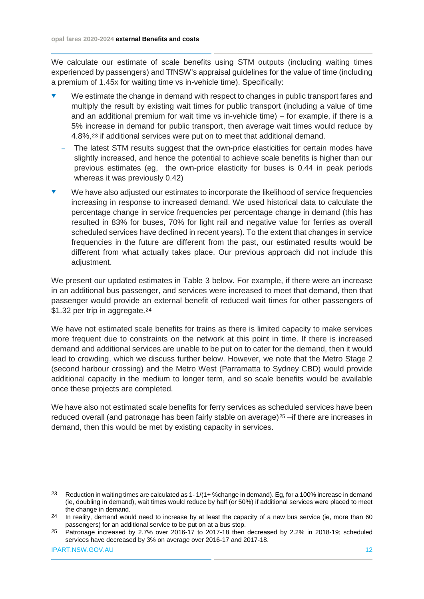We calculate our estimate of scale benefits using STM outputs (including waiting times experienced by passengers) and TfNSW's appraisal guidelines for the value of time (including a premium of 1.45x for waiting time vs in-vehicle time). Specifically:

- We estimate the change in demand with respect to changes in public transport fares and multiply the result by existing wait times for public transport (including a value of time and an additional premium for wait time vs in-vehicle time) – for example, if there is a 5% increase in demand for public transport, then average wait times would reduce by 4.8%,[23](#page-12-0) if additional services were put on to meet that additional demand.
	- The latest STM results suggest that the own-price elasticities for certain modes have slightly increased, and hence the potential to achieve scale benefits is higher than our previous estimates (eg, the own-price elasticity for buses is 0.44 in peak periods whereas it was previously 0.42)
- We have also adjusted our estimates to incorporate the likelihood of service frequencies increasing in response to increased demand. We used historical data to calculate the percentage change in service frequencies per percentage change in demand (this has resulted in 83% for buses, 70% for light rail and negative value for ferries as overall scheduled services have declined in recent years). To the extent that changes in service frequencies in the future are different from the past, our estimated results would be different from what actually takes place. Our previous approach did not include this adiustment.

We present our updated estimates in Table 3 below. For example, if there were an increase in an additional bus passenger, and services were increased to meet that demand, then that passenger would provide an external benefit of reduced wait times for other passengers of \$1.32 per trip in aggregate.<sup>[24](#page-12-1)</sup>

We have not estimated scale benefits for trains as there is limited capacity to make services more frequent due to constraints on the network at this point in time. If there is increased demand and additional services are unable to be put on to cater for the demand, then it would lead to crowding, which we discuss further below. However, we note that the Metro Stage 2 (second harbour crossing) and the Metro West (Parramatta to Sydney CBD) would provide additional capacity in the medium to longer term, and so scale benefits would be available once these projects are completed.

We have also not estimated scale benefits for ferry services as scheduled services have been reduced overall (and patronage has been fairly stable on average)<sup>[25](#page-12-2)</sup> –if there are increases in demand, then this would be met by existing capacity in services.

<span id="page-12-0"></span> <sup>23</sup> Reduction in waiting times are calculated as 1- 1/(1+ %change in demand). Eg, for a 100% increase in demand (ie, doubling in demand), wait times would reduce by half (or 50%) if additional services were placed to meet the change in demand.

<span id="page-12-1"></span><sup>&</sup>lt;sup>24</sup> In reality, demand would need to increase by at least the capacity of a new bus service (ie, more than 60 passengers) for an additional service to be put on at a bus stop.

<span id="page-12-2"></span><sup>25</sup> Patronage increased by 2.7% over 2016-17 to 2017-18 then decreased by 2.2% in 2018-19; scheduled services have decreased by 3% on average over 2016-17 and 2017-18.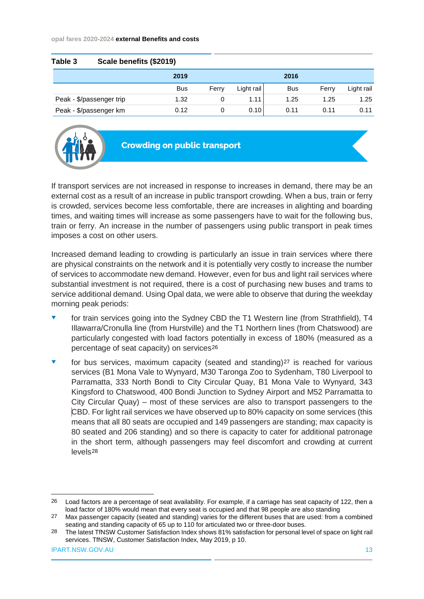#### **opal fares 2020-2024 external Benefits and costs**

| Table 3 | Scale benefits (\$2019)  |            |       |            |            |       |            |
|---------|--------------------------|------------|-------|------------|------------|-------|------------|
|         |                          | 2019       |       |            | 2016       |       |            |
|         |                          | <b>Bus</b> | Ferry | Light rail | <b>Bus</b> | Ferry | Light rail |
|         | Peak - \$/passenger trip | 1.32       | 0     | 1.11       | 1.25       | 1.25  | 1.25       |
|         | Peak - \$/passenger km   | 0.12       | 0     | 0.10       | 0.11       | 0.11  | 0.11       |



**Crowding on public transport**

If transport services are not increased in response to increases in demand, there may be an external cost as a result of an increase in public transport crowding. When a bus, train or ferry is crowded, services become less comfortable, there are increases in alighting and boarding times, and waiting times will increase as some passengers have to wait for the following bus, train or ferry. An increase in the number of passengers using public transport in peak times imposes a cost on other users.

Increased demand leading to crowding is particularly an issue in train services where there are physical constraints on the network and it is potentially very costly to increase the number of services to accommodate new demand. However, even for bus and light rail services where substantial investment is not required, there is a cost of purchasing new buses and trams to service additional demand. Using Opal data, we were able to observe that during the weekday morning peak periods:

- for train services going into the Sydney CBD the T1 Western line (from Strathfield), T4 Illawarra/Cronulla line (from Hurstville) and the T1 Northern lines (from Chatswood) are particularly congested with load factors potentially in excess of 180% (measured as a percentage of seat capacity) on services[26](#page-13-0)
- for bus services, maximum capacity (seated and standing)<sup>[27](#page-13-1)</sup> is reached for various services (B1 Mona Vale to Wynyard, M30 Taronga Zoo to Sydenham, T80 Liverpool to Parramatta, 333 North Bondi to City Circular Quay, B1 Mona Vale to Wynyard, 343 Kingsford to Chatswood, 400 Bondi Junction to Sydney Airport and M52 Parramatta to City Circular Quay) – most of these services are also to transport passengers to the CBD. For light rail services we have observed up to 80% capacity on some services (this means that all 80 seats are occupied and 149 passengers are standing; max capacity is 80 seated and 206 standing) and so there is capacity to cater for additional patronage in the short term, although passengers may feel discomfort and crowding at current levels[28](#page-13-2)

<span id="page-13-0"></span> <sup>26</sup> Load factors are a percentage of seat availability. For example, if a carriage has seat capacity of 122, then a load factor of 180% would mean that every seat is occupied and that 98 people are also standing

<span id="page-13-1"></span><sup>27</sup> Max passenger capacity (seated and standing) varies for the different buses that are used: from a combined seating and standing capacity of 65 up to 110 for articulated two or three-door buses.

<span id="page-13-2"></span><sup>28</sup> The latest TfNSW Customer Satisfaction Index shows 81% satisfaction for personal level of space on light rail services. TfNSW, Customer Satisfaction Index, May 2019, p 10.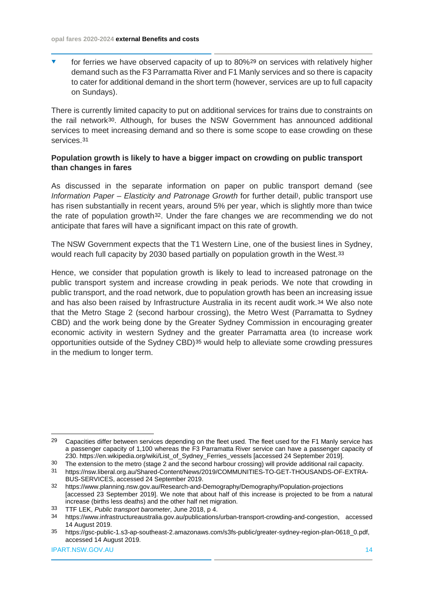for ferries we have observed capacity of up to 80%[29](#page-14-0) on services with relatively higher demand such as the F3 Parramatta River and F1 Manly services and so there is capacity to cater for additional demand in the short term (however, services are up to full capacity on Sundays).

There is currently limited capacity to put on additional services for trains due to constraints on the rail network[30.](#page-14-1) Although, for buses the NSW Government has announced additional services to meet increasing demand and so there is some scope to ease crowding on these services.[31](#page-14-2)

#### **Population growth is likely to have a bigger impact on crowding on public transport than changes in fares**

As discussed in the separate information on paper on public transport demand (see *Information Paper – Elasticity and Patronage Growth* for further detail), public transport use has risen substantially in recent years, around 5% per year, which is slightly more than twice the rate of population growth[32.](#page-14-3) Under the fare changes we are recommending we do not anticipate that fares will have a significant impact on this rate of growth.

The NSW Government expects that the T1 Western Line, one of the busiest lines in Sydney, would reach full capacity by 2030 based partially on population growth in the West.[33](#page-14-4)

Hence, we consider that population growth is likely to lead to increased patronage on the public transport system and increase crowding in peak periods. We note that crowding in public transport, and the road network, due to population growth has been an increasing issue and has also been raised by Infrastructure Australia in its recent audit work.[34](#page-14-5) We also note that the Metro Stage 2 (second harbour crossing), the Metro West (Parramatta to Sydney CBD) and the work being done by the Greater Sydney Commission in encouraging greater economic activity in western Sydney and the greater Parramatta area (to increase work opportunities outside of the Sydney CBD)[35](#page-14-6) would help to alleviate some crowding pressures in the medium to longer term.

<span id="page-14-0"></span><sup>&</sup>lt;sup>29</sup> Capacities differ between services depending on the fleet used. The fleet used for the F1 Manly service has a passenger capacity of 1,100 whereas the F3 Parramatta River service can have a passenger capacity of 230. [https://en.wikipedia.org/wiki/List\\_of\\_Sydney\\_Ferries\\_vessels](https://en.wikipedia.org/wiki/List_of_Sydney_Ferries_vessels) [accessed 24 September 2019].

<span id="page-14-2"></span><span id="page-14-1"></span><sup>30</sup> The extension to the metro (stage 2 and the second harbour crossing) will provide additional rail capacity.<br>31 https://nsw.liberal.org.au/Shared-Content/News/2019/COMMUNITIES-TO-GET-THOUSANDS-OF-EXTRA

<sup>31</sup> [https://nsw.liberal.org.au/Shared-Content/News/2019/COMMUNITIES-TO-GET-THOUSANDS-OF-EXTRA-](https://nsw.liberal.org.au/Shared-Content/News/2019/COMMUNITIES-TO-GET-THOUSANDS-OF-EXTRA-BUS-SERVICES)[BUS-SERVICES,](https://nsw.liberal.org.au/Shared-Content/News/2019/COMMUNITIES-TO-GET-THOUSANDS-OF-EXTRA-BUS-SERVICES) accessed 24 September 2019.

<span id="page-14-3"></span><sup>32</sup> <https://www.planning.nsw.gov.au/Research-and-Demography/Demography/Population-projections> [accessed 23 September 2019]. We note that about half of this increase is projected to be from a natural increase (births less deaths) and the other half net migration.

<span id="page-14-4"></span><sup>33</sup> TTF LEK, *Public transport barometer*, June 2018, p 4.

<span id="page-14-5"></span><sup>34</sup> [https://www.infrastructureaustralia.gov.au/publications/urban-transport-crowding-and-congestion,](https://www.infrastructureaustralia.gov.au/publications/urban-transport-crowding-and-congestion) accessed 14 August 2019.

<span id="page-14-6"></span><sup>35</sup> [https://gsc-public-1.s3-ap-southeast-2.amazonaws.com/s3fs-public/greater-sydney-region-plan-0618\\_0.pdf,](https://gsc-public-1.s3-ap-southeast-2.amazonaws.com/s3fs-public/greater-sydney-region-plan-0618_0.pdf) accessed 14 August 2019.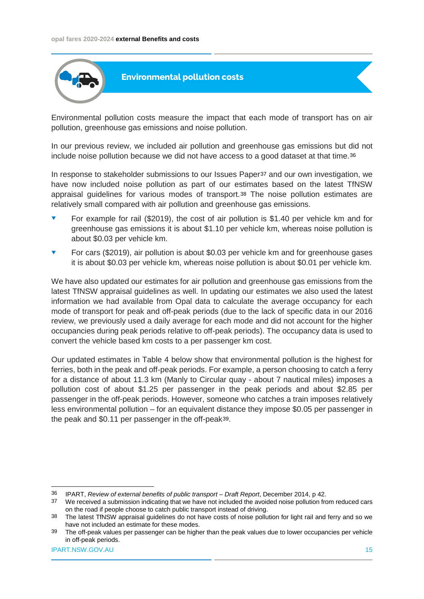

Environmental pollution costs measure the impact that each mode of transport has on air pollution, greenhouse gas emissions and noise pollution.

In our previous review, we included air pollution and greenhouse gas emissions but did not include noise pollution because we did not have access to a good dataset at that time.[36](#page-15-0)

In response to stakeholder submissions to our Issues Paper<sup>[37](#page-15-1)</sup> and our own investigation, we have now included noise pollution as part of our estimates based on the latest TfNSW appraisal guidelines for various modes of transport.[38](#page-15-2) The noise pollution estimates are relatively small compared with air pollution and greenhouse gas emissions.

- For example for rail (\$2019), the cost of air pollution is \$1.40 per vehicle km and for greenhouse gas emissions it is about \$1.10 per vehicle km, whereas noise pollution is about \$0.03 per vehicle km.
- ▼ For cars (\$2019), air pollution is about \$0.03 per vehicle km and for greenhouse gases it is about \$0.03 per vehicle km, whereas noise pollution is about \$0.01 per vehicle km.

We have also updated our estimates for air pollution and greenhouse gas emissions from the latest TfNSW appraisal guidelines as well. In updating our estimates we also used the latest information we had available from Opal data to calculate the average occupancy for each mode of transport for peak and off-peak periods (due to the lack of specific data in our 2016 review, we previously used a daily average for each mode and did not account for the higher occupancies during peak periods relative to off-peak periods). The occupancy data is used to convert the vehicle based km costs to a per passenger km cost.

Our updated estimates in Table 4 below show that environmental pollution is the highest for ferries, both in the peak and off-peak periods. For example, a person choosing to catch a ferry for a distance of about 11.3 km (Manly to Circular quay - about 7 nautical miles) imposes a pollution cost of about \$1.25 per passenger in the peak periods and about \$2.85 per passenger in the off-peak periods. However, someone who catches a train imposes relatively less environmental pollution – for an equivalent distance they impose \$0.05 per passenger in the peak and \$0.11 per passenger in the off-peak[39](#page-15-3).

<span id="page-15-0"></span> <sup>36</sup> IPART, *Review of external benefits of public transport – Draft Report*, December 2014, p 42.

<span id="page-15-1"></span><sup>37</sup> We received a submission indicating that we have not included the avoided noise pollution from reduced cars on the road if people choose to catch public transport instead of driving.

<span id="page-15-2"></span><sup>38</sup> The latest TfNSW appraisal guidelines do not have costs of noise pollution for light rail and ferry and so we have not included an estimate for these modes.

<span id="page-15-3"></span><sup>39</sup> The off-peak values per passenger can be higher than the peak values due to lower occupancies per vehicle in off-peak periods.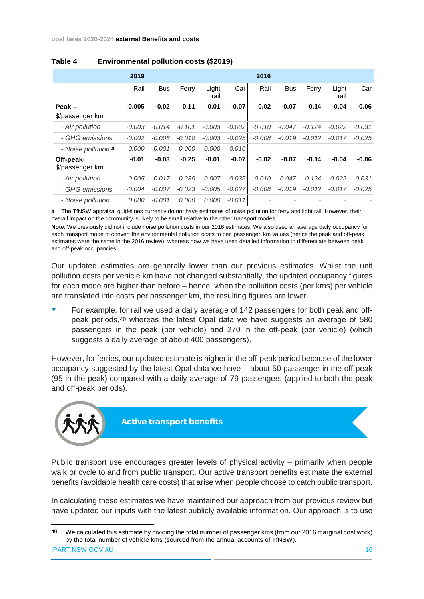|                              | 2019     |            |          |               |          | 2016     |            |          |               |          |
|------------------------------|----------|------------|----------|---------------|----------|----------|------------|----------|---------------|----------|
|                              | Rail     | <b>Bus</b> | Ferry    | Light<br>rail | Car      | Rail     | <b>Bus</b> | Ferry    | Light<br>rail | Car      |
| $Peak -$<br>\$/passenger km  | $-0.005$ | $-0.02$    | $-0.11$  | $-0.01$       | $-0.07$  | $-0.02$  | $-0.07$    | $-0.14$  | $-0.04$       | $-0.06$  |
| - Air pollution              | $-0.003$ | $-0.014$   | $-0.101$ | $-0.003$      | $-0.032$ | $-0.010$ | $-0.047$   | $-0.124$ | $-0.022$      | $-0.031$ |
| - GHG emissions              | $-0.002$ | $-0.006$   | $-0.010$ | $-0.003$      | $-0.025$ | $-0.008$ | $-0.019$   | $-0.012$ | $-0.017$      | $-0.025$ |
| - Noise pollution <b>a</b>   | 0.000    | $-0.001$   | 0.000    | 0.000         | $-0.010$ |          |            |          |               |          |
| Off-peak-<br>\$/passenger km | $-0.01$  | $-0.03$    | $-0.25$  | $-0.01$       | $-0.07$  | $-0.02$  | $-0.07$    | $-0.14$  | $-0.04$       | $-0.06$  |
| - Air pollution              | $-0.005$ | $-0.017$   | $-0.230$ | $-0.007$      | $-0.035$ | $-0.010$ | $-0.047$   | $-0.124$ | $-0.022$      | $-0.031$ |
| - GHG emissions              | $-0.004$ | $-0.007$   | $-0.023$ | $-0.005$      | $-0.027$ | $-0.008$ | $-0.019$   | $-0.012$ | $-0.017$      | $-0.025$ |
| - Noise pollution            | 0.000    | $-0.001$   | 0.000    | 0.000         | $-0.011$ |          |            |          |               |          |

#### **Table 4 Environmental pollution costs (\$2019)**

**a** The TfNSW appraisal guidelines currently do not have estimates of noise pollution for ferry and light rail. However, their overall impact on the community is likely to be small relative to the other transport modes.

**Note**: We previously did not include noise pollution costs in our 2016 estimates. We also used an average daily occupancy for each transport mode to convert the environmental pollution costs to per 'passenger' km values (hence the peak and off-peak estimates were the same in the 2016 review), whereas now we have used detailed information to differentiate between peak and off-peak occupancies.

Our updated estimates are generally lower than our previous estimates. Whilst the unit pollution costs per vehicle km have not changed substantially, the updated occupancy figures for each mode are higher than before – hence, when the pollution costs (per kms) per vehicle are translated into costs per passenger km, the resulting figures are lower.

 For example, for rail we used a daily average of 142 passengers for both peak and offpeak periods,[40](#page-16-0) whereas the latest Opal data we have suggests an average of 580 passengers in the peak (per vehicle) and 270 in the off-peak (per vehicle) (which suggests a daily average of about 400 passengers).

However, for ferries, our updated estimate is higher in the off-peak period because of the lower occupancy suggested by the latest Opal data we have – about 50 passenger in the off-peak (95 in the peak) compared with a daily average of 79 passengers (applied to both the peak and off-peak periods).



**Active transport benefits**

Public transport use encourages greater levels of physical activity – primarily when people walk or cycle to and from public transport. Our active transport benefits estimate the external benefits (avoidable health care costs) that arise when people choose to catch public transport.

In calculating these estimates we have maintained our approach from our previous review but have updated our inputs with the latest publicly available information. Our approach is to use

<span id="page-16-0"></span><sup>40</sup> We calculated this estimate by dividing the total number of passenger kms (from our 2016 marginal cost work) by the total number of vehicle kms (sourced from the annual accounts of TfNSW).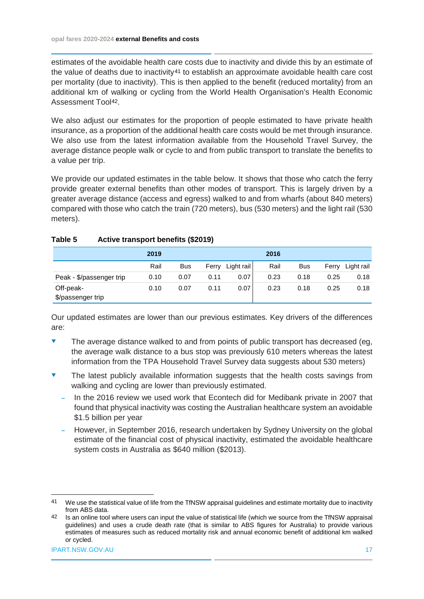estimates of the avoidable health care costs due to inactivity and divide this by an estimate of the value of deaths due to inactivity[41](#page-17-0) to establish an approximate avoidable health care cost per mortality (due to inactivity). This is then applied to the benefit (reduced mortality) from an additional km of walking or cycling from the World Health Organisation's Health Economic Assessment Tool[42](#page-17-1).

We also adjust our estimates for the proportion of people estimated to have private health insurance, as a proportion of the additional health care costs would be met through insurance. We also use from the latest information available from the Household Travel Survey, the average distance people walk or cycle to and from public transport to translate the benefits to a value per trip.

We provide our updated estimates in the table below. It shows that those who catch the ferry provide greater external benefits than other modes of transport. This is largely driven by a greater average distance (access and egress) walked to and from wharfs (about 840 meters) compared with those who catch the train (720 meters), bus (530 meters) and the light rail (530 meters).

#### **Table 5 Active transport benefits (\$2019)**

|                                | 2019 |            |       |            | 2016 |            |       |            |
|--------------------------------|------|------------|-------|------------|------|------------|-------|------------|
|                                | Rail | <b>Bus</b> | Ferry | Light rail | Rail | <b>Bus</b> | Ferry | Light rail |
| Peak - \$/passenger trip       | 0.10 | 0.07       | 0.11  | 0.07       | 0.23 | 0.18       | 0.25  | 0.18       |
| Off-peak-<br>\$/passenger trip | 0.10 | 0.07       | 0.11  | 0.07       | 0.23 | 0.18       | 0.25  | 0.18       |

Our updated estimates are lower than our previous estimates. Key drivers of the differences are:

- $\bullet$  The average distance walked to and from points of public transport has decreased (eg, the average walk distance to a bus stop was previously 610 meters whereas the latest information from the TPA Household Travel Survey data suggests about 530 meters)
- The latest publicly available information suggests that the health costs savings from walking and cycling are lower than previously estimated.
	- In the 2016 review we used work that Econtech did for Medibank private in 2007 that found that physical inactivity was costing the Australian healthcare system an avoidable \$1.5 billion per year
	- However, in September 2016, research undertaken by Sydney University on the global estimate of the financial cost of physical inactivity, estimated the avoidable healthcare system costs in Australia as \$640 million (\$2013).

<span id="page-17-0"></span> <sup>41</sup> We use the statistical value of life from the TfNSW appraisal guidelines and estimate mortality due to inactivity from ABS data.

<span id="page-17-1"></span><sup>42</sup> Is an online tool where users can input the value of statistical life (which we source from the TfNSW appraisal guidelines) and uses a crude death rate (that is similar to ABS figures for Australia) to provide various estimates of measures such as reduced mortality risk and annual economic benefit of additional km walked or cycled.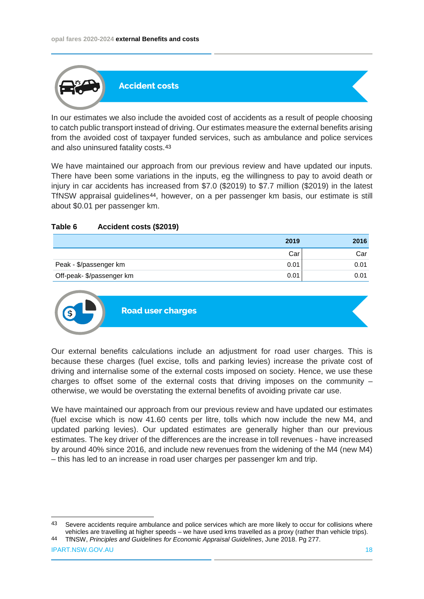

In our estimates we also include the avoided cost of accidents as a result of people choosing to catch public transport instead of driving. Our estimates measure the external benefits arising from the avoided cost of taxpayer funded services, such as ambulance and police services and also uninsured fatality costs.[43](#page-18-0)

We have maintained our approach from our previous review and have updated our inputs. There have been some variations in the inputs, eg the willingness to pay to avoid death or injury in car accidents has increased from \$7.0 (\$2019) to \$7.7 million (\$2019) in the latest TfNSW appraisal guidelines[44](#page-18-1), however, on a per passenger km basis, our estimate is still about \$0.01 per passenger km.

#### **Table 6 Accident costs (\$2019)**

|                           | 2019 | 2016 |
|---------------------------|------|------|
|                           | Car  | Car  |
| Peak - \$/passenger km    | 0.01 | 0.01 |
| Off-peak- \$/passenger km | 0.01 | 0.01 |



Our external benefits calculations include an adjustment for road user charges. This is because these charges (fuel excise, tolls and parking levies) increase the private cost of driving and internalise some of the external costs imposed on society. Hence, we use these charges to offset some of the external costs that driving imposes on the community – otherwise, we would be overstating the external benefits of avoiding private car use.

We have maintained our approach from our previous review and have updated our estimates (fuel excise which is now 41.60 cents per litre, tolls which now include the new M4, and updated parking levies). Our updated estimates are generally higher than our previous estimates. The key driver of the differences are the increase in toll revenues - have increased by around 40% since 2016, and include new revenues from the widening of the M4 (new M4) – this has led to an increase in road user charges per passenger km and trip.

<span id="page-18-0"></span><sup>43</sup> Severe accidents require ambulance and police services which are more likely to occur for collisions where vehicles are travelling at higher speeds – we have used kms travelled as a proxy (rather than vehicle trips).

<span id="page-18-1"></span><sup>44</sup> TfNSW, *Principles and Guidelines for Economic Appraisal Guidelines*, June 2018. Pg 277.